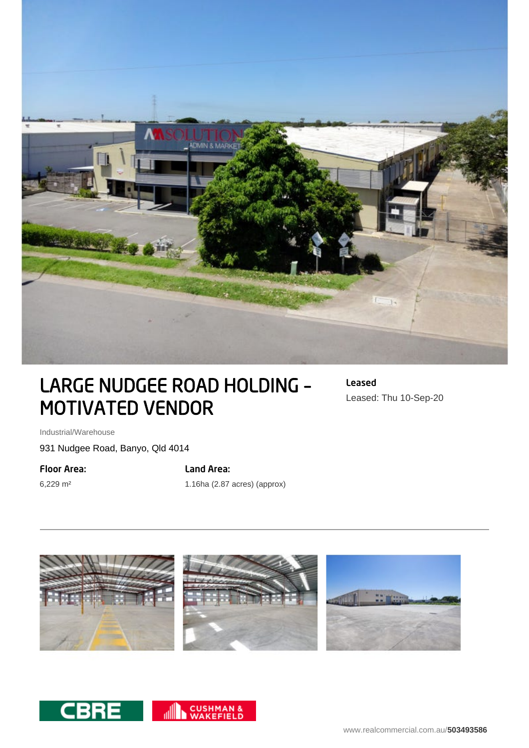

## LARGE NUDGEE ROAD HOLDING – MOTIVATED VENDOR

Leased Leased: Thu 10-Sep-20

Industrial/Warehouse

931 Nudgee Road, Banyo, Qld 4014

Floor Area:

6,229 m²

## Land Area:

1.16ha (2.87 acres) (approx)